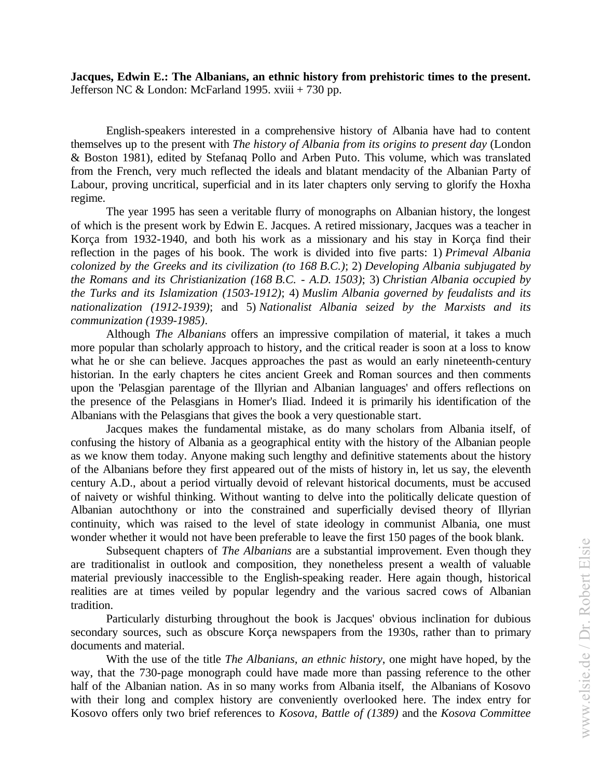**Jacques, Edwin E.: The Albanians, an ethnic history from prehistoric times to the present.**  Jefferson NC & London: McFarland 1995. xviii  $+730$  pp.

English-speakers interested in a comprehensive history of Albania have had to content themselves up to the present with *The history of Albania from its origins to present day* (London & Boston 1981), edited by Stefanaq Pollo and Arben Puto. This volume, which was translated from the French, very much reflected the ideals and blatant mendacity of the Albanian Party of Labour, proving uncritical, superficial and in its later chapters only serving to glorify the Hoxha regime.

The year 1995 has seen a veritable flurry of monographs on Albanian history, the longest of which is the present work by Edwin E. Jacques. A retired missionary, Jacques was a teacher in Korça from 1932-1940, and both his work as a missionary and his stay in Korça find their reflection in the pages of his book. The work is divided into five parts: 1) *Primeval Albania colonized by the Greeks and its civilization (to 168 B.C.)*; 2) *Developing Albania subjugated by the Romans and its Christianization (168 B.C. - A.D. 1503)*; 3) *Christian Albania occupied by the Turks and its Islamization (1503-1912)*; 4) *Muslim Albania governed by feudalists and its nationalization (1912-1939)*; and 5) *Nationalist Albania seized by the Marxists and its communization (1939-1985)*.

Although *The Albanians* offers an impressive compilation of material, it takes a much more popular than scholarly approach to history, and the critical reader is soon at a loss to know what he or she can believe. Jacques approaches the past as would an early nineteenth-century historian. In the early chapters he cites ancient Greek and Roman sources and then comments upon the 'Pelasgian parentage of the Illyrian and Albanian languages' and offers reflections on the presence of the Pelasgians in Homer's Iliad. Indeed it is primarily his identification of the Albanians with the Pelasgians that gives the book a very questionable start.

Jacques makes the fundamental mistake, as do many scholars from Albania itself, of confusing the history of Albania as a geographical entity with the history of the Albanian people as we know them today. Anyone making such lengthy and definitive statements about the history of the Albanians before they first appeared out of the mists of history in, let us say, the eleventh century A.D., about a period virtually devoid of relevant historical documents, must be accused of naivety or wishful thinking. Without wanting to delve into the politically delicate question of Albanian autochthony or into the constrained and superficially devised theory of Illyrian continuity, which was raised to the level of state ideology in communist Albania, one must wonder whether it would not have been preferable to leave the first 150 pages of the book blank.

Subsequent chapters of *The Albanians* are a substantial improvement. Even though they are traditionalist in outlook and composition, they nonetheless present a wealth of valuable material previously inaccessible to the English-speaking reader. Here again though, historical realities are at times veiled by popular legendry and the various sacred cows of Albanian tradition.

Particularly disturbing throughout the book is Jacques' obvious inclination for dubious secondary sources, such as obscure Korça newspapers from the 1930s, rather than to primary documents and material.

With the use of the title *The Albanians, an ethnic history*, one might have hoped, by the way, that the 730-page monograph could have made more than passing reference to the other half of the Albanian nation. As in so many works from Albania itself, the Albanians of Kosovo with their long and complex history are conveniently overlooked here. The index entry for Kosovo offers only two brief references to *Kosova, Battle of (1389)* and the *Kosova Committee*